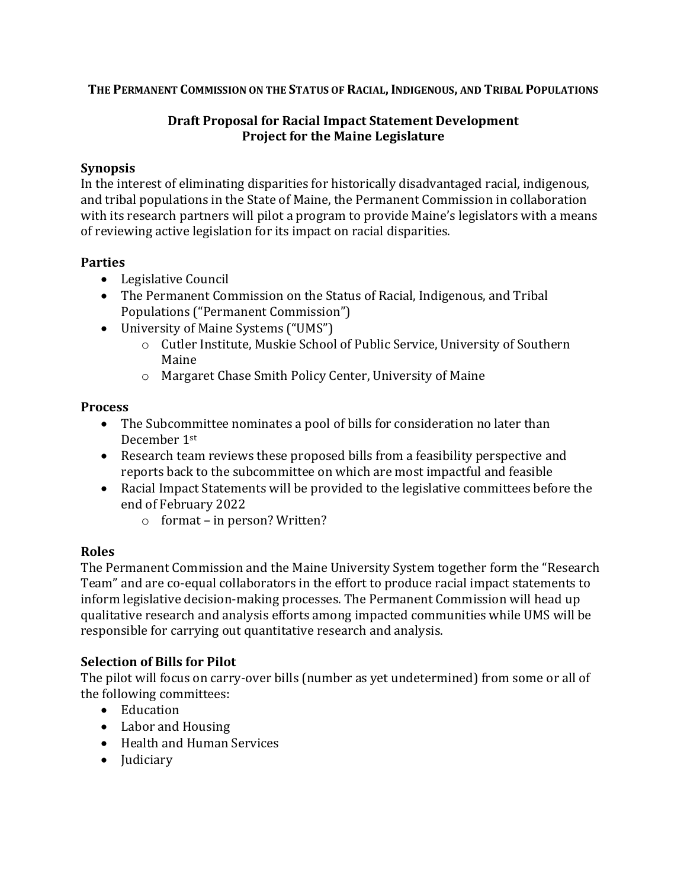**THE PERMANENT COMMISSION ON THE STATUS OF RACIAL,INDIGENOUS, AND TRIBAL POPULATIONS**

#### **Draft Proposal for Racial Impact Statement Development Project for the Maine Legislature**

#### **Synopsis**

In the interest of eliminating disparities for historically disadvantaged racial, indigenous, and tribal populations in the State of Maine, the Permanent Commission in collaboration with its research partners will pilot a program to provide Maine's legislators with a means of reviewing active legislation for its impact on racial disparities.

### **Parties**

- Legislative Council
- The Permanent Commission on the Status of Racial, Indigenous, and Tribal Populations ("Permanent Commission")
- University of Maine Systems ("UMS")
	- o Cutler Institute, Muskie School of Public Service, University of Southern Maine
	- o Margaret Chase Smith Policy Center, University of Maine

### **Process**

- The Subcommittee nominates a pool of bills for consideration no later than December 1st
- Research team reviews these proposed bills from a feasibility perspective and reports back to the subcommittee on which are most impactful and feasible
- Racial Impact Statements will be provided to the legislative committees before the end of February 2022
	- o format in person? Written?

# **Roles**

The Permanent Commission and the Maine University System together form the "Research Team" and are co-equal collaborators in the effort to produce racial impact statements to inform legislative decision-making processes. The Permanent Commission will head up qualitative research and analysis efforts among impacted communities while UMS will be responsible for carrying out quantitative research and analysis.

# **Selection of Bills for Pilot**

The pilot will focus on carry-over bills (number as yet undetermined) from some or all of the following committees:

- Education
- Labor and Housing
- Health and Human Services
- Judiciary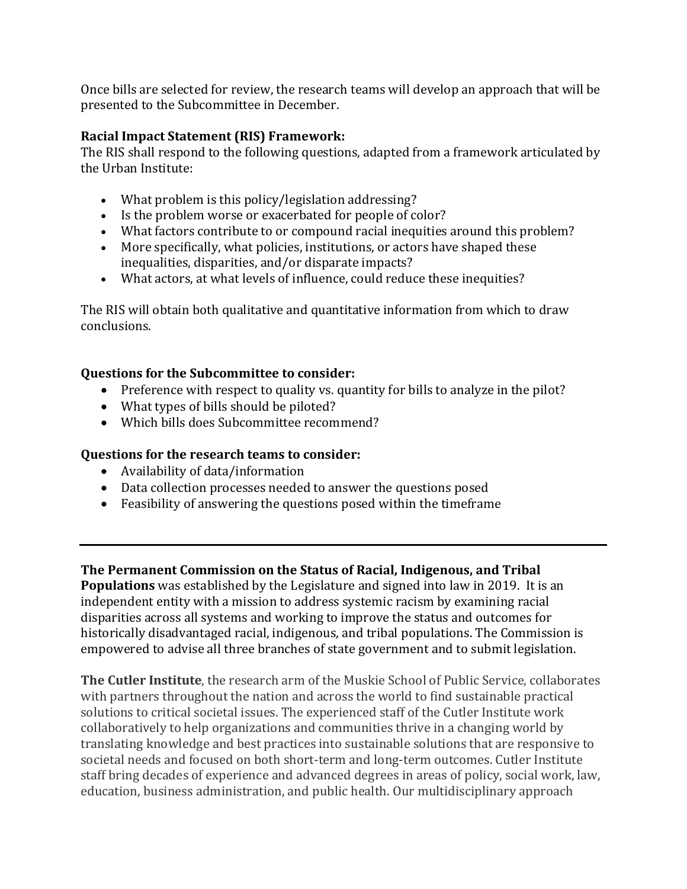Once bills are selected for review, the research teams will develop an approach that will be presented to the Subcommittee in December.

#### **Racial Impact Statement (RIS) Framework:**

The RIS shall respond to the following questions, adapted from a framework articulated by the Urban Institute:

- What problem is this policy/legislation addressing?
- Is the problem worse or exacerbated for people of color?
- What factors contribute to or compound racial inequities around this problem?
- More specifically, what policies, institutions, or actors have shaped these inequalities, disparities, and/or disparate impacts?
- What actors, at what levels of influence, could reduce these inequities?

The RIS will obtain both qualitative and quantitative information from which to draw conclusions.

### **Questions for the Subcommittee to consider:**

- Preference with respect to quality vs. quantity for bills to analyze in the pilot?
- What types of bills should be piloted?
- Which bills does Subcommittee recommend?

# **Questions for the research teams to consider:**

- Availability of data/information
- Data collection processes needed to answer the questions posed
- Feasibility of answering the questions posed within the timeframe

# **The Permanent Commission on the Status of Racial, Indigenous, and Tribal**

**Populations** was established by the Legislature and signed into law in 2019. It is an independent entity with a mission to address systemic racism by examining racial disparities across all systems and working to improve the status and outcomes for historically disadvantaged racial, indigenous, and tribal populations. The Commission is empowered to advise all three branches of state government and to submit legislation.

**The Cutler Institute**, the research arm of the Muskie School of Public Service, collaborates with partners throughout the nation and across the world to find sustainable practical solutions to critical societal issues. The experienced staff of the Cutler Institute work collaboratively to help organizations and communities thrive in a changing world by translating knowledge and best practices into sustainable solutions that are responsive to societal needs and focused on both short-term and long-term outcomes. Cutler Institute staff bring decades of experience and advanced degrees in areas of policy, social work, law, education, business administration, and public health. Our multidisciplinary approach